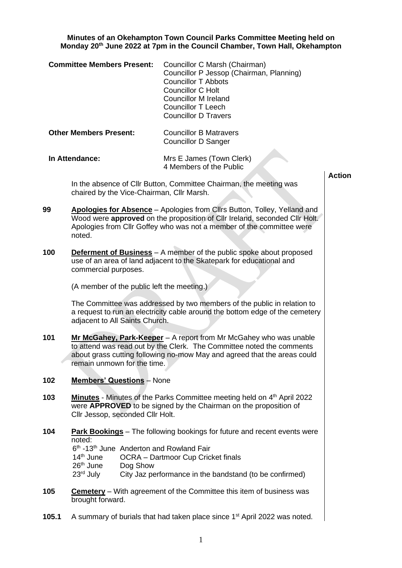**Minutes of an Okehampton Town Council Parks Committee Meeting held on Monday 20th June 2022 at 7pm in the Council Chamber, Town Hall, Okehampton**

|                               | <b>Committee Members Present:</b>                                                                                                                                                                                                                     |          | Councillor C Marsh (Chairman)<br>Councillor P Jessop (Chairman, Planning)<br><b>Councillor T Abbots</b><br><b>Councillor C Holt</b><br><b>Councillor M Ireland</b><br>Councillor T Leech<br><b>Councillor D Travers</b>                                     |               |  |
|-------------------------------|-------------------------------------------------------------------------------------------------------------------------------------------------------------------------------------------------------------------------------------------------------|----------|-------------------------------------------------------------------------------------------------------------------------------------------------------------------------------------------------------------------------------------------------------------|---------------|--|
| <b>Other Members Present:</b> |                                                                                                                                                                                                                                                       |          | <b>Councillor B Matravers</b><br><b>Councillor D Sanger</b>                                                                                                                                                                                                 |               |  |
|                               | In Attendance:                                                                                                                                                                                                                                        |          | Mrs E James (Town Clerk)<br>4 Members of the Public                                                                                                                                                                                                         |               |  |
|                               |                                                                                                                                                                                                                                                       |          | In the absence of Cllr Button, Committee Chairman, the meeting was<br>chaired by the Vice-Chairman, Cllr Marsh.                                                                                                                                             | <b>Action</b> |  |
| 99                            | Apologies for Absence - Apologies from Cllrs Button, Tolley, Yelland and<br>Wood were approved on the proposition of Cllr Ireland, seconded Cllr Holt.<br>Apologies from Cllr Goffey who was not a member of the committee were<br>noted.             |          |                                                                                                                                                                                                                                                             |               |  |
| 100                           | commercial purposes.                                                                                                                                                                                                                                  |          | <b>Deferment of Business</b> - A member of the public spoke about proposed<br>use of an area of land adjacent to the Skatepark for educational and                                                                                                          |               |  |
|                               |                                                                                                                                                                                                                                                       |          | (A member of the public left the meeting.)                                                                                                                                                                                                                  |               |  |
|                               | adjacent to All Saints Church.                                                                                                                                                                                                                        |          | The Committee was addressed by two members of the public in relation to<br>a request to run an electricity cable around the bottom edge of the cemetery                                                                                                     |               |  |
| 101                           | Mr McGahey, Park-Keeper - A report from Mr McGahey who was unable<br>to attend was read out by the Clerk. The Committee noted the comments<br>about grass cutting following no-mow May and agreed that the areas could<br>remain unmown for the time. |          |                                                                                                                                                                                                                                                             |               |  |
| 102                           | <b>Members' Questions</b> - None                                                                                                                                                                                                                      |          |                                                                                                                                                                                                                                                             |               |  |
| 103                           | <b>Minutes</b> - Minutes of the Parks Committee meeting held on 4 <sup>th</sup> April 2022<br>were APPROVED to be signed by the Chairman on the proposition of<br>Cllr Jessop, seconded Cllr Holt.                                                    |          |                                                                                                                                                                                                                                                             |               |  |
| 104                           | noted:<br>14 <sup>th</sup> June<br>26 <sup>th</sup> June<br>23 <sup>rd</sup> July                                                                                                                                                                     | Dog Show | <b>Park Bookings</b> – The following bookings for future and recent events were<br>6 <sup>th</sup> -13 <sup>th</sup> June Anderton and Rowland Fair<br><b>OCRA</b> – Dartmoor Cup Cricket finals<br>City Jaz performance in the bandstand (to be confirmed) |               |  |
| 105                           | Cemetery - With agreement of the Committee this item of business was<br>brought forward.                                                                                                                                                              |          |                                                                                                                                                                                                                                                             |               |  |
| 105.1                         | A summary of burials that had taken place since 1 <sup>st</sup> April 2022 was noted.                                                                                                                                                                 |          |                                                                                                                                                                                                                                                             |               |  |

**105.1** A summary of burials that had taken place since 1<sup>st</sup> April 2022 was noted.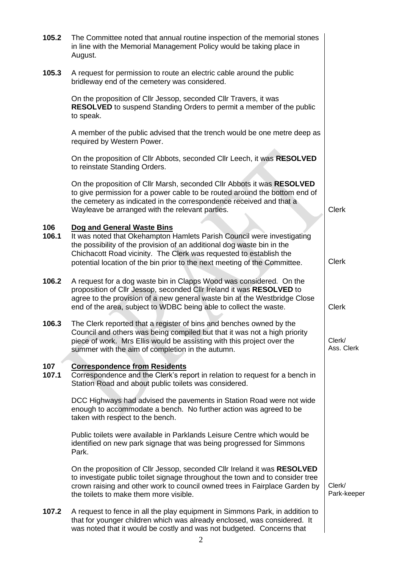| 105.2        | The Committee noted that annual routine inspection of the memorial stones<br>in line with the Memorial Management Policy would be taking place in<br>August.                                                                                                                                                                      |                       |
|--------------|-----------------------------------------------------------------------------------------------------------------------------------------------------------------------------------------------------------------------------------------------------------------------------------------------------------------------------------|-----------------------|
| 105.3        | A request for permission to route an electric cable around the public<br>bridleway end of the cemetery was considered.                                                                                                                                                                                                            |                       |
|              | On the proposition of Cllr Jessop, seconded Cllr Travers, it was<br><b>RESOLVED</b> to suspend Standing Orders to permit a member of the public<br>to speak.                                                                                                                                                                      |                       |
|              | A member of the public advised that the trench would be one metre deep as<br>required by Western Power.                                                                                                                                                                                                                           |                       |
|              | On the proposition of Cllr Abbots, seconded Cllr Leech, it was RESOLVED<br>to reinstate Standing Orders.                                                                                                                                                                                                                          |                       |
|              | On the proposition of Cllr Marsh, seconded Cllr Abbots it was RESOLVED<br>to give permission for a power cable to be routed around the bottom end of<br>the cemetery as indicated in the correspondence received and that a<br>Wayleave be arranged with the relevant parties.                                                    | <b>Clerk</b>          |
| 106<br>106.1 | Dog and General Waste Bins<br>It was noted that Okehampton Hamlets Parish Council were investigating<br>the possibility of the provision of an additional dog waste bin in the<br>Chichacott Road vicinity. The Clerk was requested to establish the<br>potential location of the bin prior to the next meeting of the Committee. | <b>Clerk</b>          |
| 106.2        | A request for a dog waste bin in Clapps Wood was considered. On the<br>proposition of Cllr Jessop, seconded Cllr Ireland it was RESOLVED to<br>agree to the provision of a new general waste bin at the Westbridge Close<br>end of the area, subject to WDBC being able to collect the waste.                                     | <b>Clerk</b>          |
| 106.3        | The Clerk reported that a register of bins and benches owned by the<br>Council and others was being compiled but that it was not a high priority<br>piece of work. Mrs Ellis would be assisting with this project over the<br>summer with the aim of completion in the autumn.                                                    | Clerk/<br>Ass. Clerk  |
| 107<br>107.1 | <b>Correspondence from Residents</b><br>Correspondence and the Clerk's report in relation to request for a bench in<br>Station Road and about public toilets was considered.                                                                                                                                                      |                       |
|              | DCC Highways had advised the pavements in Station Road were not wide<br>enough to accommodate a bench. No further action was agreed to be<br>taken with respect to the bench.                                                                                                                                                     |                       |
|              | Public toilets were available in Parklands Leisure Centre which would be<br>identified on new park signage that was being progressed for Simmons<br>Park.                                                                                                                                                                         |                       |
|              | On the proposition of Cllr Jessop, seconded Cllr Ireland it was RESOLVED<br>to investigate public toilet signage throughout the town and to consider tree<br>crown raising and other work to council owned trees in Fairplace Garden by<br>the toilets to make them more visible.                                                 | Clerk/<br>Park-keeper |
| 107.2        | A request to fence in all the play equipment in Simmons Park, in addition to<br>that for younger children which was already enclosed, was considered. It<br>was noted that it would be costly and was not budgeted. Concerns that                                                                                                 |                       |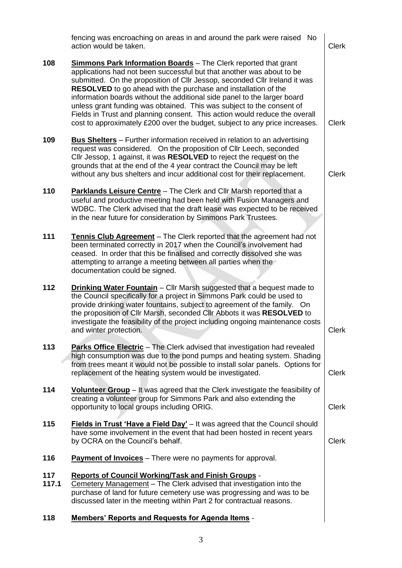|              | fencing was encroaching on areas in and around the park were raised No<br>action would be taken.                                                                                                                                                                                                                                                                                                                                                                                                                                                                                                                         | <b>Clerk</b> |
|--------------|--------------------------------------------------------------------------------------------------------------------------------------------------------------------------------------------------------------------------------------------------------------------------------------------------------------------------------------------------------------------------------------------------------------------------------------------------------------------------------------------------------------------------------------------------------------------------------------------------------------------------|--------------|
| 108          | <b>Simmons Park Information Boards</b> - The Clerk reported that grant<br>applications had not been successful but that another was about to be<br>submitted. On the proposition of Cllr Jessop, seconded Cllr Ireland it was<br><b>RESOLVED</b> to go ahead with the purchase and installation of the<br>information boards without the additional side panel to the larger board<br>unless grant funding was obtained. This was subject to the consent of<br>Fields in Trust and planning consent. This action would reduce the overall<br>cost to approximately £200 over the budget, subject to any price increases. | <b>Clerk</b> |
| 109          | <b>Bus Shelters</b> – Further information received in relation to an advertising<br>request was considered. On the proposition of Cllr Leech, seconded<br>Cllr Jessop, 1 against, it was RESOLVED to reject the request on the<br>grounds that at the end of the 4 year contract the Council may be left<br>without any bus shelters and incur additional cost for their replacement.                                                                                                                                                                                                                                    | <b>Clerk</b> |
| 110          | Parklands Leisure Centre - The Clerk and Cllr Marsh reported that a<br>useful and productive meeting had been held with Fusion Managers and<br>WDBC. The Clerk advised that the draft lease was expected to be received<br>in the near future for consideration by Simmons Park Trustees.                                                                                                                                                                                                                                                                                                                                |              |
| 111          | Tennis Club Agreement - The Clerk reported that the agreement had not<br>been terminated correctly in 2017 when the Council's involvement had<br>ceased. In order that this be finalised and correctly dissolved she was<br>attempting to arrange a meeting between all parties when the<br>documentation could be signed.                                                                                                                                                                                                                                                                                               |              |
| 112          | <b>Drinking Water Fountain</b> – Cllr Marsh suggested that a bequest made to<br>the Council specifically for a project in Simmons Park could be used to<br>provide drinking water fountains, subject to agreement of the family. On<br>the proposition of Cllr Marsh, seconded Cllr Abbots it was RESOLVED to<br>investigate the feasibility of the project including ongoing maintenance costs<br>and winter protection.                                                                                                                                                                                                | <b>Clerk</b> |
| 113          | <b>Parks Office Electric</b> – The Clerk advised that investigation had revealed<br>high consumption was due to the pond pumps and heating system. Shading<br>from trees meant it would not be possible to install solar panels. Options for<br>replacement of the heating system would be investigated.                                                                                                                                                                                                                                                                                                                 | <b>Clerk</b> |
| 114          | Volunteer Group - It was agreed that the Clerk investigate the feasibility of<br>creating a volunteer group for Simmons Park and also extending the<br>opportunity to local groups including ORIG.                                                                                                                                                                                                                                                                                                                                                                                                                       | <b>Clerk</b> |
| 115          | Fields in Trust 'Have a Field Day' - It was agreed that the Council should<br>have some involvement in the event that had been hosted in recent years<br>by OCRA on the Council's behalf.                                                                                                                                                                                                                                                                                                                                                                                                                                | <b>Clerk</b> |
| 116          | Payment of Invoices - There were no payments for approval.                                                                                                                                                                                                                                                                                                                                                                                                                                                                                                                                                               |              |
| 117<br>117.1 | <b>Reports of Council Working/Task and Finish Groups -</b><br>Cemetery Management - The Clerk advised that investigation into the<br>purchase of land for future cemetery use was progressing and was to be<br>discussed later in the meeting within Part 2 for contractual reasons.                                                                                                                                                                                                                                                                                                                                     |              |
| 118          | <b>Members' Reports and Requests for Agenda Items -</b>                                                                                                                                                                                                                                                                                                                                                                                                                                                                                                                                                                  |              |